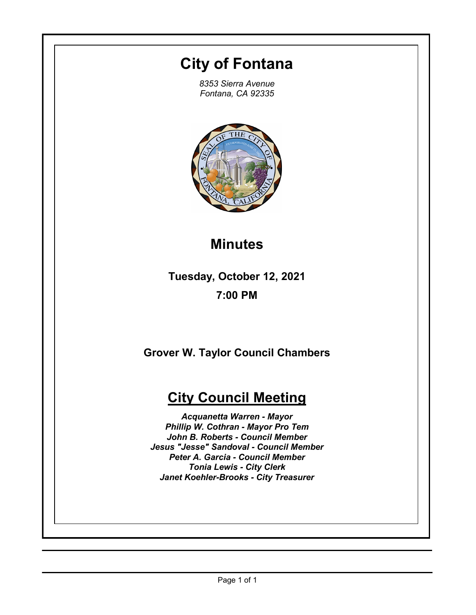# **City of Fontana**

*8353 Sierra Avenue Fontana, CA 92335*



# **Minutes**

**Tuesday, October 12, 2021 7:00 PM**

**Grover W. Taylor Council Chambers**

# **City Council Meeting**

*Acquanetta Warren - Mayor Phillip W. Cothran - Mayor Pro Tem John B. Roberts - Council Member Jesus "Jesse" Sandoval - Council Member Peter A. Garcia - Council Member Tonia Lewis - City Clerk Janet Koehler-Brooks - City Treasurer*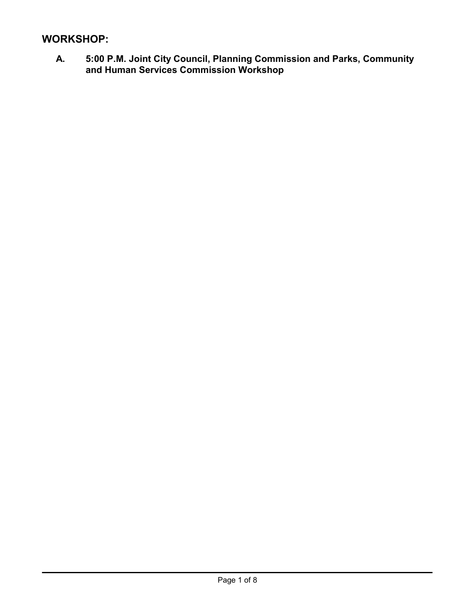# **WORKSHOP:**

**A. 5:00 P.M. Joint City Council, Planning Commission and Parks, Community and Human Services Commission Workshop**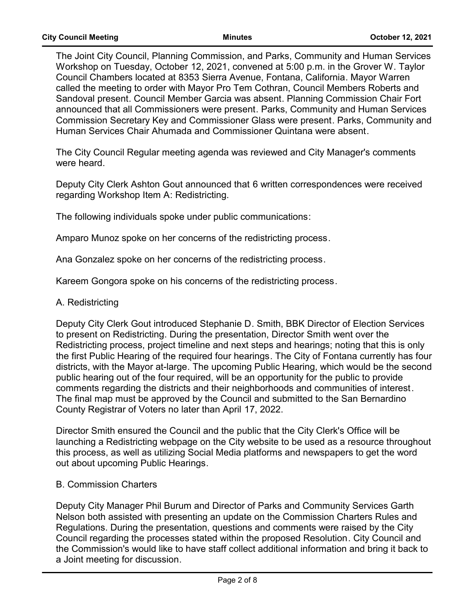The Joint City Council, Planning Commission, and Parks, Community and Human Services Workshop on Tuesday, October 12, 2021, convened at 5:00 p.m. in the Grover W. Taylor Council Chambers located at 8353 Sierra Avenue, Fontana, California. Mayor Warren called the meeting to order with Mayor Pro Tem Cothran, Council Members Roberts and Sandoval present. Council Member Garcia was absent. Planning Commission Chair Fort announced that all Commissioners were present. Parks, Community and Human Services Commission Secretary Key and Commissioner Glass were present. Parks, Community and Human Services Chair Ahumada and Commissioner Quintana were absent.

The City Council Regular meeting agenda was reviewed and City Manager's comments were heard.

Deputy City Clerk Ashton Gout announced that 6 written correspondences were received regarding Workshop Item A: Redistricting.

The following individuals spoke under public communications:

Amparo Munoz spoke on her concerns of the redistricting process.

Ana Gonzalez spoke on her concerns of the redistricting process.

Kareem Gongora spoke on his concerns of the redistricting process.

#### A. Redistricting

Deputy City Clerk Gout introduced Stephanie D. Smith, BBK Director of Election Services to present on Redistricting. During the presentation, Director Smith went over the Redistricting process, project timeline and next steps and hearings; noting that this is only the first Public Hearing of the required four hearings. The City of Fontana currently has four districts, with the Mayor at-large. The upcoming Public Hearing, which would be the second public hearing out of the four required, will be an opportunity for the public to provide comments regarding the districts and their neighborhoods and communities of interest. The final map must be approved by the Council and submitted to the San Bernardino County Registrar of Voters no later than April 17, 2022.

Director Smith ensured the Council and the public that the City Clerk's Office will be launching a Redistricting webpage on the City website to be used as a resource throughout this process, as well as utilizing Social Media platforms and newspapers to get the word out about upcoming Public Hearings.

#### B. Commission Charters

Deputy City Manager Phil Burum and Director of Parks and Community Services Garth Nelson both assisted with presenting an update on the Commission Charters Rules and Regulations. During the presentation, questions and comments were raised by the City Council regarding the processes stated within the proposed Resolution. City Council and the Commission's would like to have staff collect additional information and bring it back to a Joint meeting for discussion.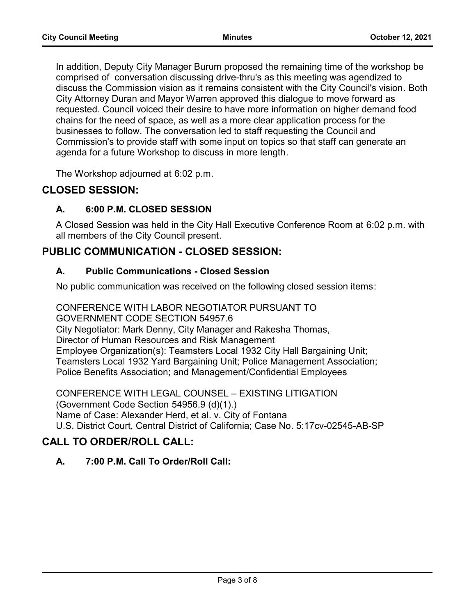In addition, Deputy City Manager Burum proposed the remaining time of the workshop be comprised of conversation discussing drive-thru's as this meeting was agendized to discuss the Commission vision as it remains consistent with the City Council's vision. Both City Attorney Duran and Mayor Warren approved this dialogue to move forward as requested. Council voiced their desire to have more information on higher demand food chains for the need of space, as well as a more clear application process for the businesses to follow. The conversation led to staff requesting the Council and Commission's to provide staff with some input on topics so that staff can generate an agenda for a future Workshop to discuss in more length.

The Workshop adjourned at 6:02 p.m.

# **CLOSED SESSION:**

## **A. 6:00 P.M. CLOSED SESSION**

A Closed Session was held in the City Hall Executive Conference Room at 6:02 p.m. with all members of the City Council present.

# **PUBLIC COMMUNICATION - CLOSED SESSION:**

### **A. Public Communications - Closed Session**

No public communication was received on the following closed session items:

CONFERENCE WITH LABOR NEGOTIATOR PURSUANT TO GOVERNMENT CODE SECTION 54957.6 City Negotiator: Mark Denny, City Manager and Rakesha Thomas, Director of Human Resources and Risk Management Employee Organization(s): Teamsters Local 1932 City Hall Bargaining Unit; Teamsters Local 1932 Yard Bargaining Unit; Police Management Association; Police Benefits Association; and Management/Confidential Employees

CONFERENCE WITH LEGAL COUNSEL – EXISTING LITIGATION (Government Code Section 54956.9 (d)(1).) Name of Case: Alexander Herd, et al. v. City of Fontana U.S. District Court, Central District of California; Case No. 5:17cv-02545-AB-SP

# **CALL TO ORDER/ROLL CALL:**

## **A. 7:00 P.M. Call To Order/Roll Call:**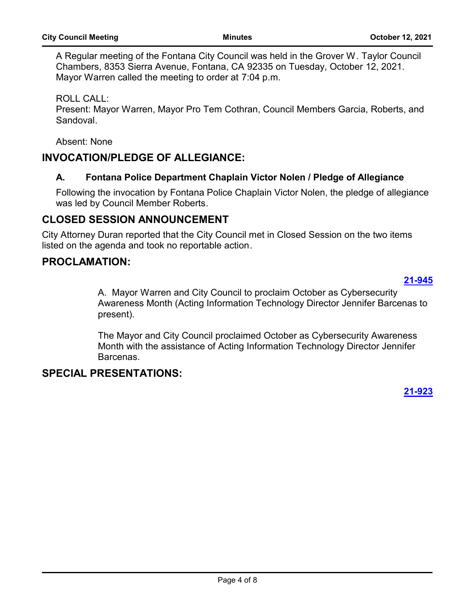A Regular meeting of the Fontana City Council was held in the Grover W. Taylor Council Chambers, 8353 Sierra Avenue, Fontana, CA 92335 on Tuesday, October 12, 2021. Mayor Warren called the meeting to order at 7:04 p.m.

ROLL CALL:

Present: Mayor Warren, Mayor Pro Tem Cothran, Council Members Garcia, Roberts, and Sandoval.

Absent: None

# **INVOCATION/PLEDGE OF ALLEGIANCE:**

## **A. Fontana Police Department Chaplain Victor Nolen / Pledge of Allegiance**

Following the invocation by Fontana Police Chaplain Victor Nolen, the pledge of allegiance was led by Council Member Roberts.

# **CLOSED SESSION ANNOUNCEMENT**

City Attorney Duran reported that the City Council met in Closed Session on the two items listed on the agenda and took no reportable action.

# **PROCLAMATION:**

#### **[21-945](http://fontana.legistar.com/gateway.aspx?m=l&id=/matter.aspx?key=2030)**

A. Mayor Warren and City Council to proclaim October as Cybersecurity Awareness Month (Acting Information Technology Director Jennifer Barcenas to present).

The Mayor and City Council proclaimed October as Cybersecurity Awareness Month with the assistance of Acting Information Technology Director Jennifer Barcenas.

# **SPECIAL PRESENTATIONS:**

## **[21-923](http://fontana.legistar.com/gateway.aspx?m=l&id=/matter.aspx?key=2008)**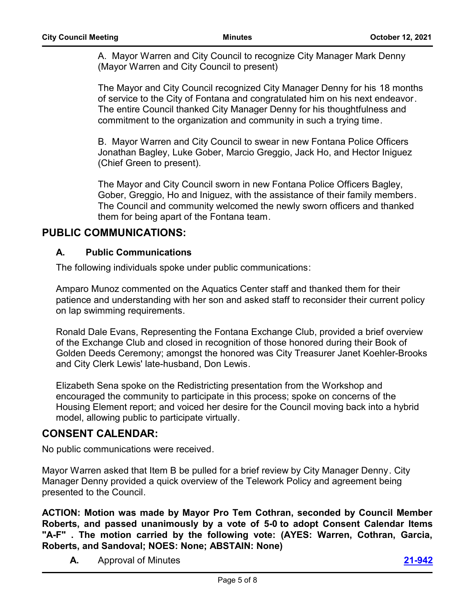A. Mayor Warren and City Council to recognize City Manager Mark Denny (Mayor Warren and City Council to present)

The Mayor and City Council recognized City Manager Denny for his 18 months of service to the City of Fontana and congratulated him on his next endeavor. The entire Council thanked City Manager Denny for his thoughtfulness and commitment to the organization and community in such a trying time.

B. Mayor Warren and City Council to swear in new Fontana Police Officers Jonathan Bagley, Luke Gober, Marcio Greggio, Jack Ho, and Hector Iniguez (Chief Green to present).

The Mayor and City Council sworn in new Fontana Police Officers Bagley, Gober, Greggio, Ho and Iniguez, with the assistance of their family members. The Council and community welcomed the newly sworn officers and thanked them for being apart of the Fontana team.

### **PUBLIC COMMUNICATIONS:**

#### **A. Public Communications**

The following individuals spoke under public communications:

Amparo Munoz commented on the Aquatics Center staff and thanked them for their patience and understanding with her son and asked staff to reconsider their current policy on lap swimming requirements.

Ronald Dale Evans, Representing the Fontana Exchange Club, provided a brief overview of the Exchange Club and closed in recognition of those honored during their Book of Golden Deeds Ceremony; amongst the honored was City Treasurer Janet Koehler-Brooks and City Clerk Lewis' late-husband, Don Lewis.

Elizabeth Sena spoke on the Redistricting presentation from the Workshop and encouraged the community to participate in this process; spoke on concerns of the Housing Element report; and voiced her desire for the Council moving back into a hybrid model, allowing public to participate virtually.

## **CONSENT CALENDAR:**

No public communications were received.

Mayor Warren asked that Item B be pulled for a brief review by City Manager Denny. City Manager Denny provided a quick overview of the Telework Policy and agreement being presented to the Council.

**ACTION: Motion was made by Mayor Pro Tem Cothran, seconded by Council Member Roberts, and passed unanimously by a vote of 5-0 to adopt Consent Calendar Items "A-F" . The motion carried by the following vote: (AYES: Warren, Cothran, Garcia, Roberts, and Sandoval; NOES: None; ABSTAIN: None)**

**A.** Approval of Minutes **[21-942](http://fontana.legistar.com/gateway.aspx?m=l&id=/matter.aspx?key=2027)**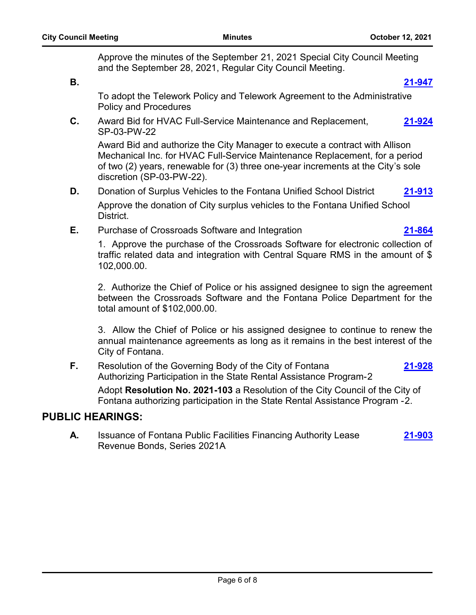**[21-928](http://fontana.legistar.com/gateway.aspx?m=l&id=/matter.aspx?key=2013)**

Approve the minutes of the September 21, 2021 Special City Council Meeting and the September 28, 2021, Regular City Council Meeting.

**B. [21-947](http://fontana.legistar.com/gateway.aspx?m=l&id=/matter.aspx?key=2032)**

To adopt the Telework Policy and Telework Agreement to the Administrative Policy and Procedures.

**C.** Award Bid for HVAC Full-Service Maintenance and Replacement, SP-03-PW-22 **[21-924](http://fontana.legistar.com/gateway.aspx?m=l&id=/matter.aspx?key=2009)**

Award Bid and authorize the City Manager to execute a contract with Allison Mechanical Inc. for HVAC Full-Service Maintenance Replacement, for a period of two (2) years, renewable for (3) three one-year increments at the City's sole discretion (SP-03-PW-22).

**D.** Donation of Surplus Vehicles to the Fontana Unified School District **[21-913](http://fontana.legistar.com/gateway.aspx?m=l&id=/matter.aspx?key=1998)**

Approve the donation of City surplus vehicles to the Fontana Unified School District.

**E.** Purchase of Crossroads Software and Integration **[21-864](http://fontana.legistar.com/gateway.aspx?m=l&id=/matter.aspx?key=1949)**

1. Approve the purchase of the Crossroads Software for electronic collection of traffic related data and integration with Central Square RMS in the amount of \$ 102,000.00.

2. Authorize the Chief of Police or his assigned designee to sign the agreement between the Crossroads Software and the Fontana Police Department for the total amount of \$102,000.00.

3. Allow the Chief of Police or his assigned designee to continue to renew the annual maintenance agreements as long as it remains in the best interest of the City of Fontana.

**F.** Resolution of the Governing Body of the City of Fontana Authorizing Participation in the State Rental Assistance Program-2

Adopt **Resolution No. 2021-103** a Resolution of the City Council of the City of Fontana authorizing participation in the State Rental Assistance Program -2.

## **PUBLIC HEARINGS:**

**A.** Issuance of Fontana Public Facilities Financing Authority Lease Revenue Bonds, Series 2021A **[21-903](http://fontana.legistar.com/gateway.aspx?m=l&id=/matter.aspx?key=1988)**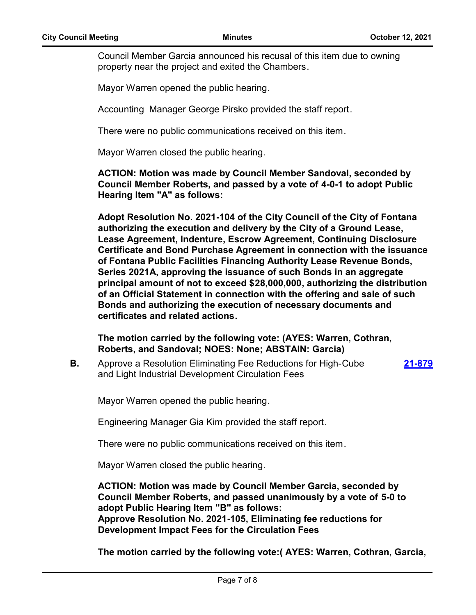Council Member Garcia announced his recusal of this item due to owning property near the project and exited the Chambers.

Mayor Warren opened the public hearing.

Accounting Manager George Pirsko provided the staff report.

There were no public communications received on this item.

Mayor Warren closed the public hearing.

**ACTION: Motion was made by Council Member Sandoval, seconded by Council Member Roberts, and passed by a vote of 4-0-1 to adopt Public Hearing Item "A" as follows:**

**Adopt Resolution No. 2021-104 of the City Council of the City of Fontana authorizing the execution and delivery by the City of a Ground Lease, Lease Agreement, Indenture, Escrow Agreement, Continuing Disclosure Certificate and Bond Purchase Agreement in connection with the issuance of Fontana Public Facilities Financing Authority Lease Revenue Bonds, Series 2021A, approving the issuance of such Bonds in an aggregate principal amount of not to exceed \$28,000,000, authorizing the distribution of an Official Statement in connection with the offering and sale of such Bonds and authorizing the execution of necessary documents and certificates and related actions.**

**The motion carried by the following vote: (AYES: Warren, Cothran, Roberts, and Sandoval; NOES: None; ABSTAIN: Garcia)**

**B.** Approve a Resolution Eliminating Fee Reductions for High-Cube and Light Industrial Development Circulation Fees **[21-879](http://fontana.legistar.com/gateway.aspx?m=l&id=/matter.aspx?key=1964)**

Mayor Warren opened the public hearing.

Engineering Manager Gia Kim provided the staff report.

There were no public communications received on this item.

Mayor Warren closed the public hearing.

**ACTION: Motion was made by Council Member Garcia, seconded by Council Member Roberts, and passed unanimously by a vote of 5-0 to adopt Public Hearing Item "B" as follows: Approve Resolution No. 2021-105, Eliminating fee reductions for Development Impact Fees for the Circulation Fees**

**The motion carried by the following vote:( AYES: Warren, Cothran, Garcia,**